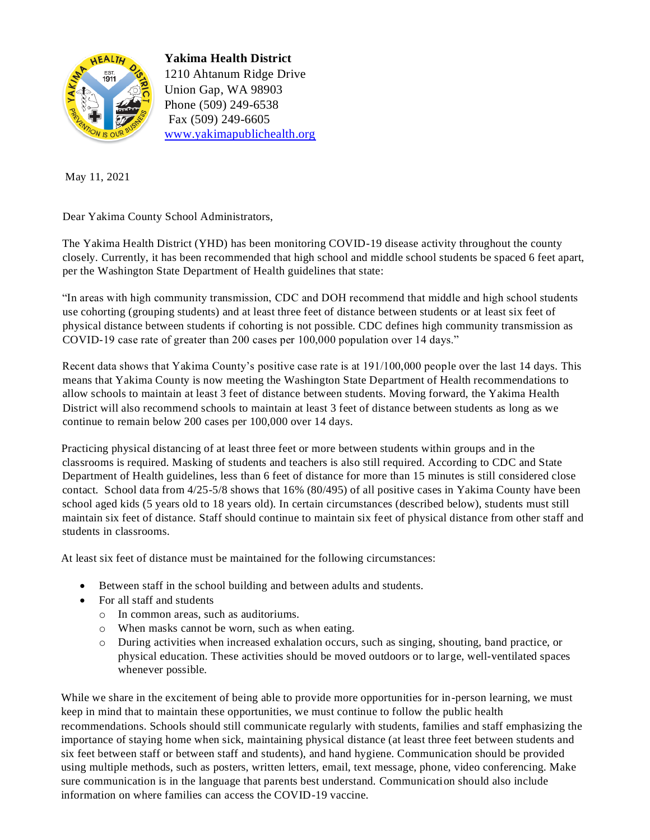

**Yakima Health District**  1210 Ahtanum Ridge Drive Union Gap, WA 98903 Phone (509) 249-6538 Fax (509) 249-6605 www.yakimapublichealth.org

May 11, 2021

Dear Yakima County School Administrators,

The Yakima Health District (YHD) has been monitoring COVID-19 disease activity throughout the county closely. Currently, it has been recommended that high school and middle school students be spaced 6 feet apart, per the Washington State Department of Health guidelines that state:

"In areas with high community transmission, CDC and DOH recommend that middle and high school students use cohorting (grouping students) and at least three feet of distance between students or at least six feet of physical distance between students if cohorting is not possible. CDC defines high community transmission as COVID-19 case rate of greater than 200 cases per 100,000 population over 14 days."

Recent data shows that Yakima County's positive case rate is at 191/100,000 people over the last 14 days. This means that Yakima County is now meeting the Washington State Department of Health recommendations to allow schools to maintain at least 3 feet of distance between students. Moving forward, the Yakima Health District will also recommend schools to maintain at least 3 feet of distance between students as long as we continue to remain below 200 cases per 100,000 over 14 days.

Practicing physical distancing of at least three feet or more between students within groups and in the classrooms is required. Masking of students and teachers is also still required. According to CDC and State Department of Health guidelines, less than 6 feet of distance for more than 15 minutes is still considered close contact. School data from 4/25-5/8 shows that 16% (80/495) of all positive cases in Yakima County have been school aged kids (5 years old to 18 years old). In certain circumstances (described below), students must still maintain six feet of distance. Staff should continue to maintain six feet of physical distance from other staff and students in classrooms.

At least six feet of distance must be maintained for the following circumstances:

- Between staff in the school building and between adults and students.
- For all staff and students
	- o In common areas, such as auditoriums.
	- o When masks cannot be worn, such as when eating.
	- o During activities when increased exhalation occurs, such as singing, shouting, band practice, or physical education. These activities should be moved outdoors or to large, well-ventilated spaces whenever possible.

While we share in the excitement of being able to provide more opportunities for in-person learning, we must keep in mind that to maintain these opportunities, we must continue to follow the public health recommendations. Schools should still communicate regularly with students, families and staff emphasizing the importance of staying home when sick, maintaining physical distance (at least three feet between students and six feet between staff or between staff and students), and hand hygiene. Communication should be provided using multiple methods, such as posters, written letters, email, text message, phone, video conferencing. Make sure communication is in the language that parents best understand. Communication should also include information on where families can access the COVID-19 vaccine.